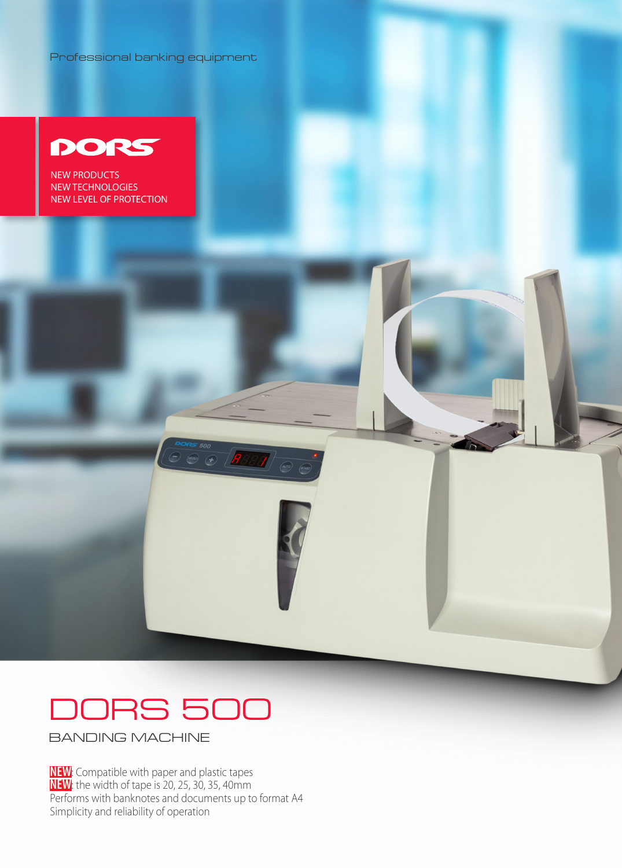Professional banking equipment



**NEW PRODUCTS** NEW TECHNOLOGIES NEW LEVEL OF PROTECTION



**BANDING MACHINE** 

NEW: Compatible with paper and plastic tapes **NEW**: the width of tape is 20, 25, 30, 35, 40mm Performs with banknotes and documents up to format A4 Simplicity and reliability of operation

**PORS** 500